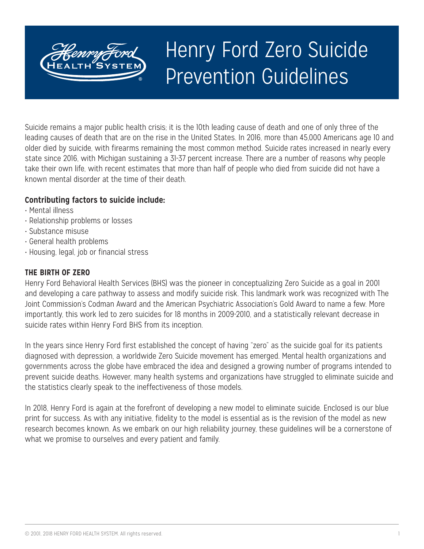# Henry Ford Zero Suicide Prevention Guidelines

Suicide remains a major public health crisis; it is the 10th leading cause of death and one of only three of the leading causes of death that are on the rise in the United States. In 2016, more than 45,000 Americans age 10 and older died by suicide, with firearms remaining the most common method. Suicide rates increased in nearly every state since 2016, with Michigan sustaining a 31-37 percent increase. There are a number of reasons why people take their own life, with recent estimates that more than half of people who died from suicide did not have a known mental disorder at the time of their death.

#### **Contributing factors to suicide include:**

- Mental illness
- Relationship problems or losses
- Substance misuse
- General health problems
- Housing, legal, job or financial stress

#### **THE BIRTH OF ZERO**

Henry Ford Behavioral Health Services (BHS) was the pioneer in conceptualizing Zero Suicide as a goal in 2001 and developing a care pathway to assess and modify suicide risk. This landmark work was recognized with The Joint Commission's Codman Award and the American Psychiatric Association's Gold Award to name a few. More importantly, this work led to zero suicides for 18 months in 2009-2010, and a statistically relevant decrease in suicide rates within Henry Ford BHS from its inception.

In the years since Henry Ford first established the concept of having "zero" as the suicide goal for its patients diagnosed with depression, a worldwide Zero Suicide movement has emerged. Mental health organizations and governments across the globe have embraced the idea and designed a growing number of programs intended to prevent suicide deaths. However, many health systems and organizations have struggled to eliminate suicide and the statistics clearly speak to the ineffectiveness of those models.

In 2018, Henry Ford is again at the forefront of developing a new model to eliminate suicide. Enclosed is our blue print for success. As with any initiative, fidelity to the model is essential as is the revision of the model as new research becomes known. As we embark on our high reliability journey, these guidelines will be a cornerstone of what we promise to ourselves and every patient and family.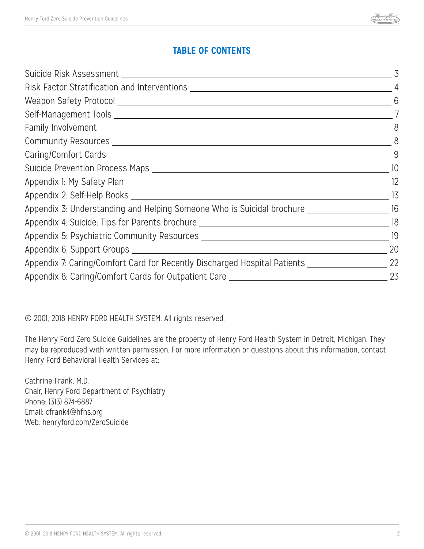## **TABLE OF CONTENTS**

| Risk Factor Stratification and Interventions ___________________________________                   | $\overline{4}$  |
|----------------------------------------------------------------------------------------------------|-----------------|
|                                                                                                    | 6               |
|                                                                                                    |                 |
|                                                                                                    | $8 - 8$         |
|                                                                                                    | 8               |
|                                                                                                    | 9               |
|                                                                                                    |                 |
|                                                                                                    | 12              |
|                                                                                                    | $\frac{13}{15}$ |
| Appendix 3: Understanding and Helping Someone Who is Suicidal brochure _________________________16 |                 |
| Appendix 4: Suicide: Tips for Parents brochure __________________________________                  | 18              |
|                                                                                                    | 19              |
|                                                                                                    | 20              |
| Appendix 7: Caring/Comfort Card for Recently Discharged Hospital Patients                          | 22              |
| Appendix 8: Caring/Comfort Cards for Outpatient Care                                               | 23              |

© 2001, 2018 HENRY FORD HEALTH SYSTEM. All rights reserved.

The Henry Ford Zero Suicide Guidelines are the property of Henry Ford Health System in Detroit, Michigan. They may be reproduced with written permission. For more information or questions about this information, contact Henry Ford Behavioral Health Services at:

Cathrine Frank, M.D. Chair, Henry Ford Department of Psychiatry Phone: (313) 874-6887 Email: cfrank4@hfhs.org Web: henryford.com/ZeroSuicide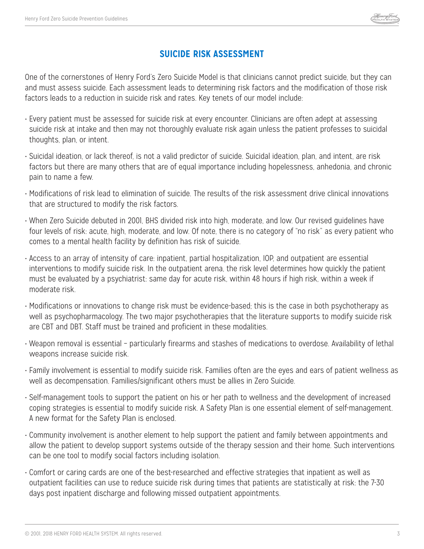

## **SUICIDE RISK ASSESSMENT**

One of the cornerstones of Henry Ford's Zero Suicide Model is that clinicians cannot predict suicide, but they can and must assess suicide. Each assessment leads to determining risk factors and the modification of those risk factors leads to a reduction in suicide risk and rates. Key tenets of our model include:

- Every patient must be assessed for suicide risk at every encounter. Clinicians are often adept at assessing suicide risk at intake and then may not thoroughly evaluate risk again unless the patient professes to suicidal thoughts, plan, or intent.
- Suicidal ideation, or lack thereof, is not a valid predictor of suicide. Suicidal ideation, plan, and intent, are risk factors but there are many others that are of equal importance including hopelessness, anhedonia, and chronic pain to name a few.
- Modifications of risk lead to elimination of suicide. The results of the risk assessment drive clinical innovations that are structured to modify the risk factors.
- When Zero Suicide debuted in 2001, BHS divided risk into high, moderate, and low. Our revised guidelines have four levels of risk: acute, high, moderate, and low. Of note, there is no category of "no risk" as every patient who comes to a mental health facility by definition has risk of suicide.
- Access to an array of intensity of care: inpatient, partial hospitalization, IOP, and outpatient are essential interventions to modify suicide risk. In the outpatient arena, the risk level determines how quickly the patient must be evaluated by a psychiatrist: same day for acute risk, within 48 hours if high risk, within a week if moderate risk.
- Modifications or innovations to change risk must be evidence-based; this is the case in both psychotherapy as well as psychopharmacology. The two major psychotherapies that the literature supports to modify suicide risk are CBT and DBT. Staff must be trained and proficient in these modalities.
- Weapon removal is essential particularly firearms and stashes of medications to overdose. Availability of lethal weapons increase suicide risk.
- Family involvement is essential to modify suicide risk. Families often are the eyes and ears of patient wellness as well as decompensation. Families/significant others must be allies in Zero Suicide.
- Self-management tools to support the patient on his or her path to wellness and the development of increased coping strategies is essential to modify suicide risk. A Safety Plan is one essential element of self-management. A new format for the Safety Plan is enclosed.
- Community involvement is another element to help support the patient and family between appointments and allow the patient to develop support systems outside of the therapy session and their home. Such interventions can be one tool to modify social factors including isolation.
- Comfort or caring cards are one of the best-researched and effective strategies that inpatient as well as outpatient facilities can use to reduce suicide risk during times that patients are statistically at risk: the 7-30 days post inpatient discharge and following missed outpatient appointments.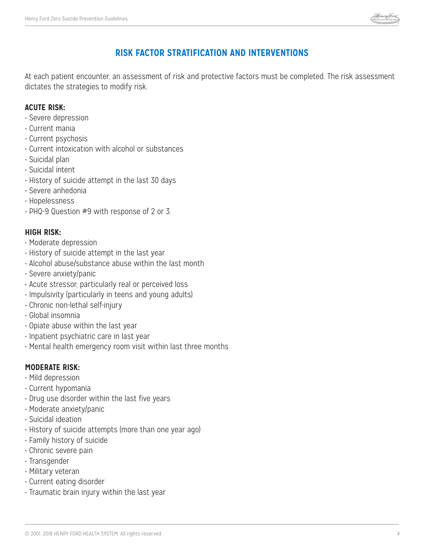

## **RISK FACTOR STRATIFICATION AND INTERVENTIONS**

At each patient encounter, an assessment of risk and protective factors must be completed. The risk assessment dictates the strategies to modify risk.

#### **ACUTE RISK:**

- Severe depression
- Current mania
- Current psychosis
- Current intoxication with alcohol or substances
- Suicidal plan
- Suicidal intent
- History of suicide attempt in the last 30 days
- Severe anhedonia
- Hopelessness
- PHQ-9 Question #9 with response of 2 or 3.

#### **HIGH RISK:**

- Moderate depression
- History of suicide attempt in the last year
- Alcohol abuse/substance abuse within the last month
- Severe anxiety/panic
- Acute stressor; particularly real or perceived loss
- Impulsivity (particularly in teens and young adults)
- Chronic non-lethal self-injury
- Global insomnia
- Opiate abuse within the last year
- Inpatient psychiatric care in last year
- Mental health emergency room visit within last three months

### **MODERATE RISK:**

- Mild depression
- Current hypomania
- Drug use disorder within the last five years
- Moderate anxiety/panic
- Suicidal ideation
- History of suicide attempts (more than one year ago)
- Family history of suicide
- Chronic severe pain
- Transgender
- Military veteran
- Current eating disorder
- Traumatic brain injury within the last year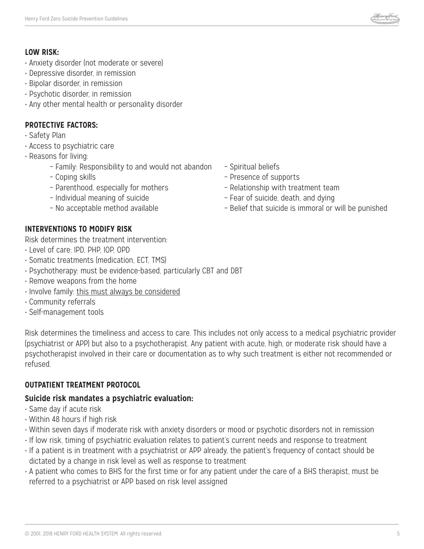

#### **LOW RISK:**

- Anxiety disorder (not moderate or severe)
- Depressive disorder, in remission
- Bipolar disorder, in remission
- Psychotic disorder, in remission
- Any other mental health or personality disorder

#### **PROTECTIVE FACTORS:**

- Safety Plan
- Access to psychiatric care
- Reasons for living:
	- Family: Responsibility to and would not abandon Spiritual beliefs
	-
	- Parenthood, especially for mothers Relationship with treatment team
	-
	-
- 
- Coping skills Presence of supports
	-
- Individual meaning of suicide Fear of suicide, death, and dying
- No acceptable method available Belief that suicide is immoral or will be punished

### **INTERVENTIONS TO MODIFY RISK**

Risk determines the treatment intervention:

- Level of care: IPD, PHP, IOP, OPD
- Somatic treatments (medication, ECT, TMS)
- Psychotherapy: must be evidence-based, particularly CBT and DBT
- Remove weapons from the home
- Involve family: this must always be considered
- Community referrals
- Self-management tools

Risk determines the timeliness and access to care. This includes not only access to a medical psychiatric provider (psychiatrist or APP) but also to a psychotherapist. Any patient with acute, high, or moderate risk should have a psychotherapist involved in their care or documentation as to why such treatment is either not recommended or refused.

#### **OUTPATIENT TREATMENT PROTOCOL**

#### **Suicide risk mandates a psychiatric evaluation:**

- Same day if acute risk
- Within 48 hours if high risk
- Within seven days if moderate risk with anxiety disorders or mood or psychotic disorders not in remission
- If low risk, timing of psychiatric evaluation relates to patient's current needs and response to treatment
- If a patient is in treatment with a psychiatrist or APP already, the patient's frequency of contact should be dictated by a change in risk level as well as response to treatment
- A patient who comes to BHS for the first time or for any patient under the care of a BHS therapist, must be referred to a psychiatrist or APP based on risk level assigned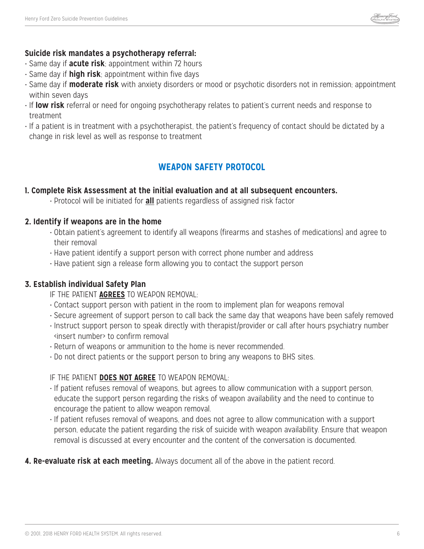

#### **Suicide risk mandates a psychotherapy referral:**

- Same day if **acute risk**; appointment within 72 hours
- Same day if **high risk**; appointment within five days
- Same day if **moderate risk** with anxiety disorders or mood or psychotic disorders not in remission; appointment within seven days
- If **low risk** referral or need for ongoing psychotherapy relates to patient's current needs and response to treatment
- If a patient is in treatment with a psychotherapist, the patient's frequency of contact should be dictated by a change in risk level as well as response to treatment

## **WEAPON SAFETY PROTOCOL**

#### **1. Complete Risk Assessment at the initial evaluation and at all subsequent encounters.**

• Protocol will be initiated for **all** patients regardless of assigned risk factor

#### **2. Identify if weapons are in the home**

- Obtain patient's agreement to identify all weapons (firearms and stashes of medications) and agree to their removal
- Have patient identify a support person with correct phone number and address
- Have patient sign a release form allowing you to contact the support person

#### **3. Establish individual Safety Plan**

- IF THE PATIENT **AGREES** TO WEAPON REMOVAL:
- Contact support person with patient in the room to implement plan for weapons removal
- Secure agreement of support person to call back the same day that weapons have been safely removed
- Instruct support person to speak directly with therapist/provider or call after hours psychiatry number <insert number> to confirm removal
- Return of weapons or ammunition to the home is never recommended.
- Do not direct patients or the support person to bring any weapons to BHS sites.

#### IF THE PATIENT **DOES NOT AGREE** TO WEAPON REMOVAL:

- If patient refuses removal of weapons, but agrees to allow communication with a support person, educate the support person regarding the risks of weapon availability and the need to continue to encourage the patient to allow weapon removal.
- If patient refuses removal of weapons, and does not agree to allow communication with a support person, educate the patient regarding the risk of suicide with weapon availability. Ensure that weapon removal is discussed at every encounter and the content of the conversation is documented.
- **4. Re-evaluate risk at each meeting.** Always document all of the above in the patient record.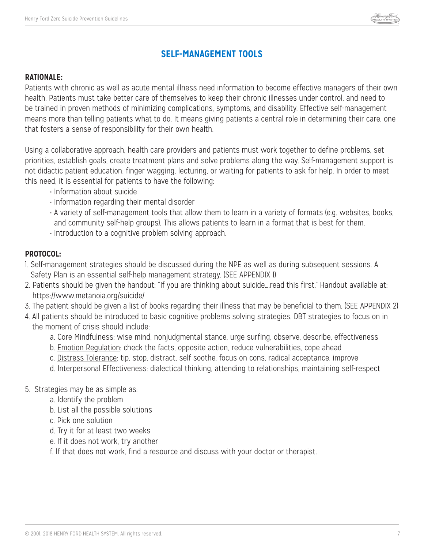

## **SELF-MANAGEMENT TOOLS**

#### **RATIONALE:**

Patients with chronic as well as acute mental illness need information to become effective managers of their own health. Patients must take better care of themselves to keep their chronic illnesses under control, and need to be trained in proven methods of minimizing complications, symptoms, and disability. Effective self-management means more than telling patients what to do. It means giving patients a central role in determining their care, one that fosters a sense of responsibility for their own health.

Using a collaborative approach, health care providers and patients must work together to define problems, set priorities, establish goals, create treatment plans and solve problems along the way. Self-management support is not didactic patient education, finger wagging, lecturing, or waiting for patients to ask for help. In order to meet this need, it is essential for patients to have the following:

- Information about suicide
- Information regarding their mental disorder
- A variety of self-management tools that allow them to learn in a variety of formats (e.g. websites, books, and community self-help groups). This allows patients to learn in a format that is best for them.
- Introduction to a cognitive problem solving approach.

#### **PROTOCOL:**

- 1. Self-management strategies should be discussed during the NPE as well as during subsequent sessions. A Safety Plan is an essential self-help management strategy. (SEE APPENDIX 1)
- 2. Patients should be given the handout: "If you are thinking about suicide….read this first." Handout available at: https://www.metanoia.org/suicide/
- 3. The patient should be given a list of books regarding their illness that may be beneficial to them. (SEE APPENDIX 2)
- 4. All patients should be introduced to basic cognitive problems solving strategies. DBT strategies to focus on in the moment of crisis should include:
	- a. Core Mindfulness: wise mind, nonjudgmental stance, urge surfing, observe, describe, effectiveness
	- b. Emotion Regulation: check the facts, opposite action, reduce vulnerabilities, cope ahead
	- c. Distress Tolerance: tip, stop, distract, self soothe, focus on cons, radical acceptance, improve
	- d. Interpersonal Effectiveness: dialectical thinking, attending to relationships, maintaining self-respect
- 5. Strategies may be as simple as:
	- a. Identify the problem
	- b. List all the possible solutions
	- c. Pick one solution
	- d. Try it for at least two weeks
	- e. If it does not work, try another
	- f. If that does not work, find a resource and discuss with your doctor or therapist.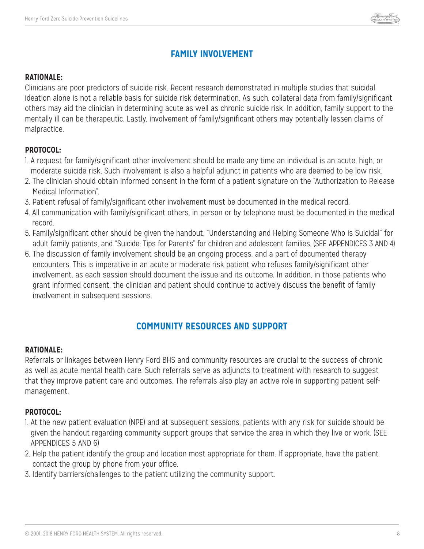

## **FAMILY INVOLVEMENT**

#### **RATIONALE:**

Clinicians are poor predictors of suicide risk. Recent research demonstrated in multiple studies that suicidal ideation alone is not a reliable basis for suicide risk determination. As such, collateral data from family/significant others may aid the clinician in determining acute as well as chronic suicide risk. In addition, family support to the mentally ill can be therapeutic. Lastly, involvement of family/significant others may potentially lessen claims of malpractice.

#### **PROTOCOL:**

- 1. A request for family/significant other involvement should be made any time an individual is an acute, high, or moderate suicide risk. Such involvement is also a helpful adjunct in patients who are deemed to be low risk.
- 2. The clinician should obtain informed consent in the form of a patient signature on the "Authorization to Release Medical Information".
- 3. Patient refusal of family/significant other involvement must be documented in the medical record.
- 4. All communication with family/significant others, in person or by telephone must be documented in the medical record.
- 5. Family/significant other should be given the handout, "Understanding and Helping Someone Who is Suicidal" for adult family patients, and "Suicide: Tips for Parents" for children and adolescent families. (SEE APPENDICES 3 AND 4)
- 6. The discussion of family involvement should be an ongoing process, and a part of documented therapy encounters. This is imperative in an acute or moderate risk patient who refuses family/significant other involvement, as each session should document the issue and its outcome. In addition, in those patients who grant informed consent, the clinician and patient should continue to actively discuss the benefit of family involvement in subsequent sessions.

## **COMMUNITY RESOURCES AND SUPPORT**

#### **RATIONALE:**

Referrals or linkages between Henry Ford BHS and community resources are crucial to the success of chronic as well as acute mental health care. Such referrals serve as adjuncts to treatment with research to suggest that they improve patient care and outcomes. The referrals also play an active role in supporting patient selfmanagement.

#### **PROTOCOL:**

- 1. At the new patient evaluation (NPE) and at subsequent sessions, patients with any risk for suicide should be given the handout regarding community support groups that service the area in which they live or work. (SEE APPENDICES 5 AND 6)
- 2. Help the patient identify the group and location most appropriate for them. If appropriate, have the patient contact the group by phone from your office.
- 3. Identify barriers/challenges to the patient utilizing the community support.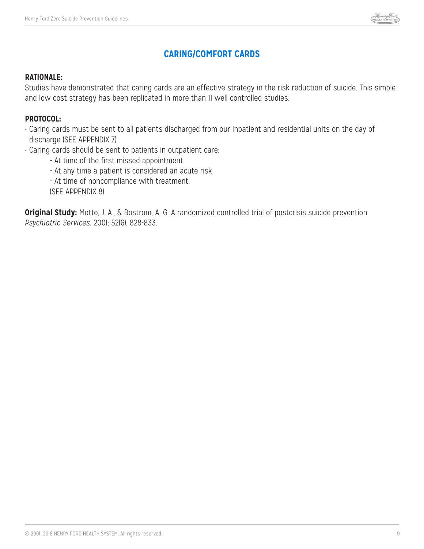

## **CARING/COMFORT CARDS**

#### **RATIONALE:**

Studies have demonstrated that caring cards are an effective strategy in the risk reduction of suicide. This simple and low cost strategy has been replicated in more than 11 well controlled studies.

#### **PROTOCOL:**

- Caring cards must be sent to all patients discharged from our inpatient and residential units on the day of discharge (SEE APPENDIX 7)
- Caring cards should be sent to patients in outpatient care:
	- At time of the first missed appointment
	- At any time a patient is considered an acute risk
	- At time of noncompliance with treatment.
	- (SEE APPENDIX 8)

**Original Study:** Motto, J. A., & Bostrom, A. G. A randomized controlled trial of postcrisis suicide prevention. *Psychiatric Services.* 2001; 52(6), 828-833.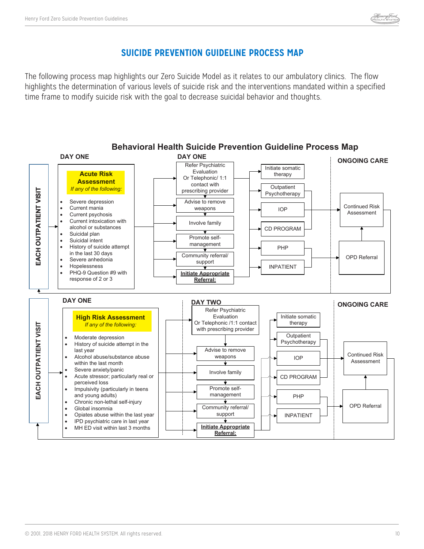## **SUICIDE PREVENTION GUIDELINE PROCESS MAP**

The following process map highlights our Zero Suicide Model as it relates to our ambulatory clinics. The flow highlights the determination of various levels of suicide risk and the interventions mandated within a specified time frame to modify suicide risk with the goal to decrease suicidal behavior and thoughts.

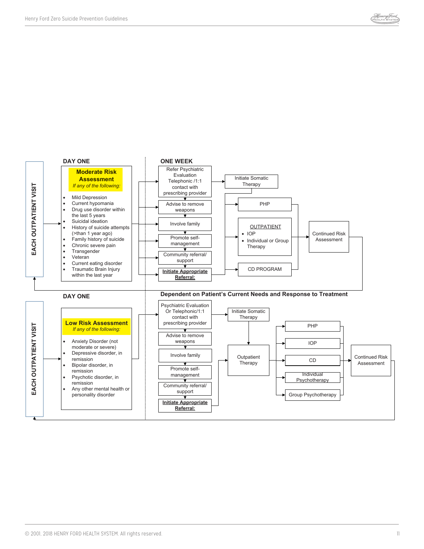

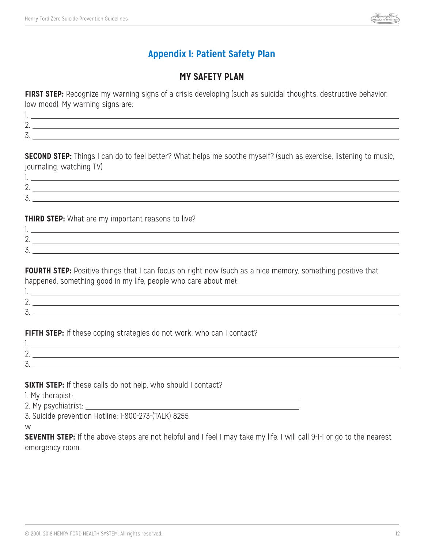

## **Appendix 1: Patient Safety Plan**

## **MY SAFETY PLAN**

**FIRST STEP:** Recognize my warning signs of a crisis developing (such as suicidal thoughts, destructive behavior, low mood). My warning signs are:

| <u>.</u>                       |  |
|--------------------------------|--|
| $\overline{\phantom{a}}$<br>J. |  |
|                                |  |

**SECOND STEP:** Things I can do to feel better? What helps me soothe myself? (such as exercise, listening to music, journaling, watching TV) 1.

| . .                  |  |
|----------------------|--|
| <u>.</u>             |  |
| $\overline{ }$<br>J. |  |
|                      |  |

**THIRD STEP:** What are my important reasons to live?

| <u>_</u>                      |  |
|-------------------------------|--|
| $\overline{\phantom{a}}$<br>◡ |  |

**FOURTH STEP:** Positive things that I can focus on right now (such as a nice memory, something positive that happened, something good in my life, people who care about me):

| <u>.</u> |  |
|----------|--|
| $\sim$   |  |
|          |  |

FIFTH STEP: If these coping strategies do not work, who can I contact?

| $\sim$<br><u>_</u> | ,我们就会不会不会。""我们,我们就会不会不会不会。""我们,我们就会不会不会不会不会。""我们,我们就会不会不会不会。""我们,我们就会不会不会不会。""我们 |
|--------------------|----------------------------------------------------------------------------------|
| $\rightarrow$<br>◡ |                                                                                  |
|                    |                                                                                  |

**SIXTH STEP:** If these calls do not help, who should I contact?

1. My therapist:

2. My psychiatrist:

3. Suicide prevention Hotline: 1-800-273-(TALK) 8255

w

**SEVENTH STEP:** If the above steps are not helpful and I feel I may take my life, I will call 9-1-1 or go to the nearest emergency room.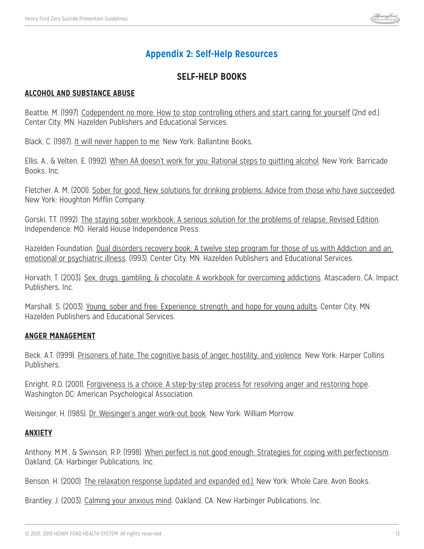

## **Appendix 2: Self-Help Resources**

## **SELF-HELP BOOKS**

#### **ALCOHOL AND SUBSTANCE ABUSE**

Beattie, M. (1997). Codependent no more: How to stop controlling others and start caring for yourself (2nd ed.). Center City, MN: Hazelden Publishers and Educational Services.

Black, C. (1987). It will never happen to me. New York: Ballantine Books.

Ellis, A., & Velten, E. (1992). When AA doesn't work for you: Rational steps to quitting alcohol. New York: Barricade Books, Inc.

Fletcher, A. M. (2001). Sober for good: New solutions for drinking problems: Advice from those who have succeeded. New York: Houghton Mifflin Company.

Gorski, T.T. (1992). The staying sober workbook: A serious solution for the problems of relapse, Revised Edition. Independence, MO: Herald House Independence Press.

Hazelden Foundation. Dual disorders recovery book: A twelve step program for those of us with Addiction and an emotional or psychiatric illness. (1993). Center City, MN: Hazelden Publishers and Educational Services.

Horvath, T. (2003). Sex, drugs, gambling, & chocolate: A workbook for overcoming addictions. Atascadero, CA: Impact Publishers, Inc.

Marshall, S. (2003). Young, sober and free: Experience, strength, and hope for young adults. Center City, MN: Hazelden Publishers and Educational Services.

#### **ANGER MANAGEMENT**

Beck, A.T. (1999). Prisoners of hate: The cognitive basis of anger, hostility, and violence. New York: Harper Collins Publishers.

Enright, R.D. (2001). Forgiveness is a choice: A step-by-step process for resolving anger and restoring hope. Washington DC: American Psychological Association.

Weisinger, H. (1985). Dr. Weisinger's anger work-out book. New York: William Morrow.

#### **ANXIETY**

Anthony, M.M., & Swinson, R.P. (1998). When perfect is not good enough: Strategies for coping with perfectionism. Oakland, CA: Harbinger Publications, Inc.

Benson, H. (2000). The relaxation response (updated and expanded ed.). New York: Whole Care, Avon Books.

Brantley, J. (2003). Calming your anxious mind. Oakland, CA: New Harbinger Publications, Inc.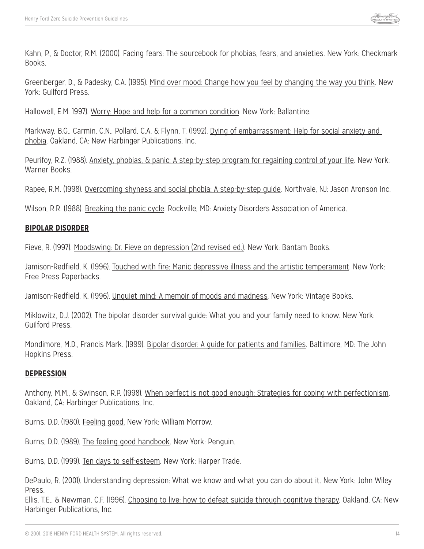Kahn, P., & Doctor, R.M. (2000). *Facing fears: The sourcebook for phobias*, fears, and anxieties. New York: Checkmark Books.

Greenberger, D., & Padesky, C.A. (1995). Mind over mood: Change how you feel by changing the way you think. New York: Guilford Press.

Hallowell, E.M. 1997). Worry: Hope and help for a common condition. New York: Ballantine.

Markway, B.G., Carmin, C.N., Pollard, C.A. & Flynn, T. (1992). Dying of embarrassment: Help for social anxiety and phobia. Oakland, CA: New Harbinger Publications, Inc.

Peurifoy, R.Z. (1988). Anxiety, phobias, & panic: A step-by-step program for regaining control of your life. New York: Warner Books.

Rapee, R.M. (1998). Overcoming shyness and social phobia: A step-by-step guide. Northvale, NJ: Jason Aronson Inc.

Wilson, R.R. (1988). Breaking the panic cycle. Rockville, MD: Anxiety Disorders Association of America.

#### **BIPOLAR DISORDER**

Fieve, R. (1997). Moodswing: Dr. Fieve on depression (2nd revised ed.). New York: Bantam Books.

Jamison-Redfield, K. (1996). Touched with fire: Manic depressive illness and the artistic temperament. New York: Free Press Paperbacks.

Jamison-Redfield, K. (1996). Unquiet mind: A memoir of moods and madness. New York: Vintage Books.

Miklowitz, D.J. (2002). The bipolar disorder survival guide: What you and your family need to know. New York: Guilford Press.

Mondimore, M.D., Francis Mark. (1999). Bipolar disorder: A guide for patients and families. Baltimore, MD: The John Hopkins Press.

#### **DEPRESSION**

Anthony, M.M., & Swinson, R.P. (1998). When perfect is not good enough: Strategies for coping with perfectionism. Oakland, CA: Harbinger Publications, Inc.

Burns, D.D. (1980). Feeling good. New York: William Morrow.

Burns, D.D. (1989). The feeling good handbook. New York: Penguin.

Burns, D.D. (1999). Ten days to self-esteem. New York: Harper Trade.

DePaulo, R. (2001). Understanding depression: What we know and what you can do about it. New York: John Wiley Press.

Ellis, T.E., & Newman, C.F. (1996). Choosing to live: how to defeat suicide through cognitive therapy. Oakland, CA: New Harbinger Publications, Inc.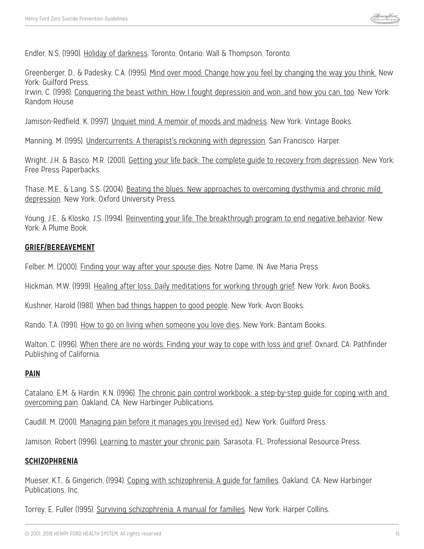Endler, N.S, (1990). Holiday of darkness. Toronto, Ontario: Wall & Thompson, Toronto.

Greenberger, D., & Padesky, C.A. (1995). Mind over mood: Change how you feel by changing the way you think. New York: Guilford Press.

Irwin, C. (1998). Conquering the beast within: How I fought depression and won…and how you can, too. New York: Random House

Jamison-Redfield, K. (1997). Unquiet mind: A memoir of moods and madness. New York: Vintage Books.

Manning, M. (1995). Undercurrents: A therapist's reckoning with depression. San Francisco: Harper.

Wright, J.H. & Basco, M.R. (2001). Getting your life back: The complete quide to recovery from depression. New York: Free Press Paperbacks.

Thase, M.E., & Lang, S.S. (2004). Beating the blues: New approaches to overcoming dysthymia and chronic mild depression. New York: Oxford University Press.

Young, J.E., & Klosko, J.S. (1994). Reinventing your life: The breakthrough program to end negative behavior. New York: A Plume Book.

#### **GRIEF/BEREAVEMENT**

Felber, M. (2000). Finding your way after your spouse dies. Notre Dame, IN: Ave Maria Press.

Hickman, M.W. (1999). Healing after loss: Daily meditations for working through grief. New York: Avon Books.

Kushner, Harold (1981). When bad things happen to good people. New York: Avon Books.

Rando, T.A. (1991). How to go on living when someone you love dies. New York: Bantam Books.

Walton, C. (1996). When there are no words: Finding your way to cope with loss and grief. Oxnard, CA: Pathfinder Publishing of California.

#### **PAIN**

Catalano, E.M. & Hardin, K.N. (1996). The chronic pain control workbook: a step-by-step guide for coping with and overcoming pain. Oakland, CA: New Harbinger Publications.

Caudill, M. (2001). Managing pain before it manages you (revised ed.). New York: Guilford Press.

Jamison, Robert (1996). Learning to master your chronic pain. Sarasota, FL: Professional Resource Press.

#### **SCHIZOPHRENIA**

Mueser, K.T., & Gingerich, (1994). Coping with schizophrenia: A quide for families. Oakland, CA: New Harbinger Publications, Inc.

Torrey, E. Fuller (1995). Surviving schizophrenia: A manual for families. New York: Harper Collins.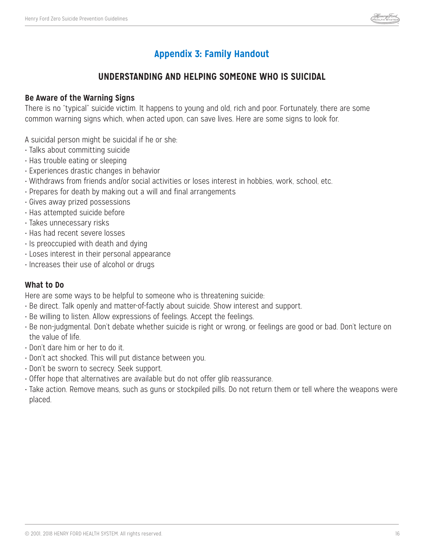

## **Appendix 3: Family Handout**

## **UNDERSTANDING AND HELPING SOMEONE WHO IS SUICIDAL**

#### **Be Aware of the Warning Signs**

There is no "typical" suicide victim. It happens to young and old, rich and poor. Fortunately, there are some common warning signs which, when acted upon, can save lives. Here are some signs to look for.

A suicidal person might be suicidal if he or she:

- Talks about committing suicide
- Has trouble eating or sleeping
- Experiences drastic changes in behavior
- Withdraws from friends and/or social activities or loses interest in hobbies, work, school, etc.
- Prepares for death by making out a will and final arrangements
- Gives away prized possessions
- Has attempted suicide before
- Takes unnecessary risks
- Has had recent severe losses
- Is preoccupied with death and dying
- Loses interest in their personal appearance
- Increases their use of alcohol or drugs

#### **What to Do**

Here are some ways to be helpful to someone who is threatening suicide:

- Be direct. Talk openly and matter-of-factly about suicide. Show interest and support.
- Be willing to listen. Allow expressions of feelings. Accept the feelings.
- Be non-judgmental. Don't debate whether suicide is right or wrong, or feelings are good or bad. Don't lecture on the value of life.
- Don't dare him or her to do it.
- Don't act shocked. This will put distance between you.
- Don't be sworn to secrecy. Seek support.
- Offer hope that alternatives are available but do not offer glib reassurance.
- Take action. Remove means, such as guns or stockpiled pills. Do not return them or tell where the weapons were placed.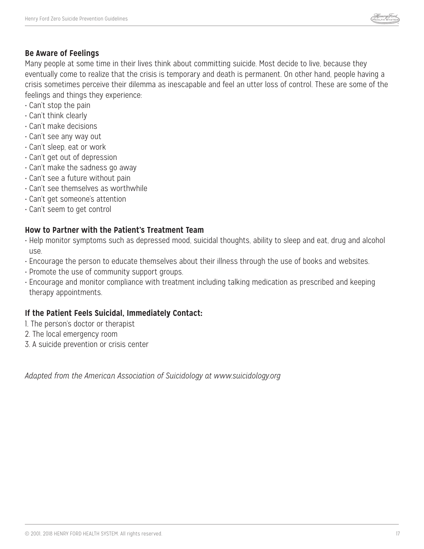

#### **Be Aware of Feelings**

Many people at some time in their lives think about committing suicide. Most decide to live, because they eventually come to realize that the crisis is temporary and death is permanent. On other hand, people having a crisis sometimes perceive their dilemma as inescapable and feel an utter loss of control. These are some of the feelings and things they experience:

- Can't stop the pain
- Can't think clearly
- Can't make decisions
- Can't see any way out
- Can't sleep, eat or work
- Can't get out of depression
- Can't make the sadness go away
- Can't see a future without pain
- Can't see themselves as worthwhile
- Can't get someone's attention
- Can't seem to get control

#### **How to Partner with the Patient's Treatment Team**

- Help monitor symptoms such as depressed mood, suicidal thoughts, ability to sleep and eat, drug and alcohol use.
- Encourage the person to educate themselves about their illness through the use of books and websites.
- Promote the use of community support groups.
- Encourage and monitor compliance with treatment including talking medication as prescribed and keeping therapy appointments.

#### **If the Patient Feels Suicidal, Immediately Contact:**

- 1. The person's doctor or therapist
- 2. The local emergency room
- 3. A suicide prevention or crisis center

*Adapted from the American Association of Suicidology at www.suicidology.org*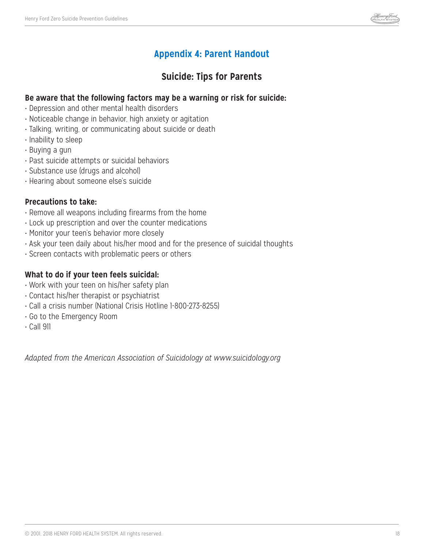

## **Appendix 4: Parent Handout**

## **Suicide: Tips for Parents**

#### **Be aware that the following factors may be a warning or risk for suicide:**

- Depression and other mental health disorders
- Noticeable change in behavior, high anxiety or agitation
- Talking, writing, or communicating about suicide or death
- Inability to sleep
- Buying a gun
- Past suicide attempts or suicidal behaviors
- Substance use (drugs and alcohol)
- Hearing about someone else's suicide

#### **Precautions to take:**

- Remove all weapons including firearms from the home
- Lock up prescription and over the counter medications
- Monitor your teen's behavior more closely
- Ask your teen daily about his/her mood and for the presence of suicidal thoughts
- Screen contacts with problematic peers or others

#### **What to do if your teen feels suicidal:**

- Work with your teen on his/her safety plan
- Contact his/her therapist or psychiatrist
- Call a crisis number (National Crisis Hotline 1-800-273-8255)
- Go to the Emergency Room
- Call 911

*Adapted from the American Association of Suicidology at www.suicidology.org*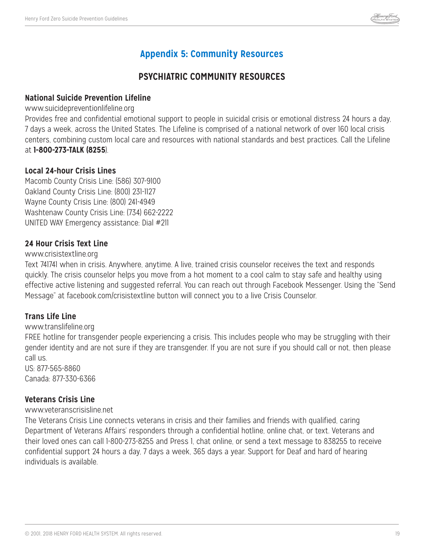

## **Appendix 5: Community Resources**

## **PSYCHIATRIC COMMUNITY RESOURCES**

#### **National Suicide Prevention Lifeline**

#### www.suicidepreventionlifeline.org

Provides free and confidential emotional support to people in suicidal crisis or emotional distress 24 hours a day, 7 days a week, across the United States. The Lifeline is comprised of a national network of over 160 local crisis centers, combining custom local care and resources with national standards and best practices. Call the Lifeline at **1-800-273-TALK (8255**).

#### **Local 24-hour Crisis Lines**

Macomb County Crisis Line: (586) 307-9100 Oakland County Crisis Line: (800) 231-1127 Wayne County Crisis Line: (800) 241-4949 Washtenaw County Crisis Line: (734) 662-2222 UNITED WAY Emergency assistance: Dial #211

#### **24 Hour Crisis Text Line**

#### www.crisistextline.org

Text 741741 when in crisis. Anywhere, anytime. A live, trained crisis counselor receives the text and responds quickly. The crisis counselor helps you move from a hot moment to a cool calm to stay safe and healthy using effective active listening and suggested referral. You can reach out through Facebook Messenger. Using the "Send Message" at facebook.com/crisistextline button will connect you to a live Crisis Counselor.

### **Trans Life Line**

#### www.translifeline.org

FREE hotline for transgender people experiencing a crisis. This includes people who may be struggling with their gender identity and are not sure if they are transgender. If you are not sure if you should call or not, then please call us.

US: 877-565-8860 Canada: 877-330-6366

#### **Veterans Crisis Line**

#### www.veteranscrisisline.net

The Veterans Crisis Line connects veterans in crisis and their families and friends with qualified, caring Department of Veterans Affairs' responders through a confidential hotline, online chat, or text. Veterans and their loved ones can call 1-800-273-8255 and Press 1, chat online, or send a text message to 838255 to receive confidential support 24 hours a day, 7 days a week, 365 days a year. Support for Deaf and hard of hearing individuals is available.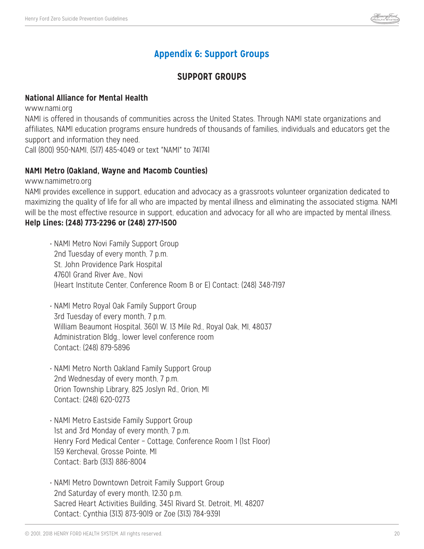

## **Appendix 6: Support Groups**

## **SUPPORT GROUPS**

#### **National Alliance for Mental Health**

www.nami.org

NAMI is offered in thousands of communities across the United States. Through NAMI state organizations and affiliates, NAMI education programs ensure hundreds of thousands of families, individuals and educators get the support and information they need.

Call (800) 950-NAMI, (517) 485-4049 or text "NAMI" to 741741

#### **NAMI Metro (Oakland, Wayne and Macomb Counties)**

www.namimetro.org

NAMI provides excellence in support, education and advocacy as a grassroots volunteer organization dedicated to maximizing the quality of life for all who are impacted by mental illness and eliminating the associated stigma. NAMI will be the most effective resource in support, education and advocacy for all who are impacted by mental illness. **Help Lines: (248) 773-2296 or (248) 277-1500**

- NAMI Metro Novi Family Support Group 2nd Tuesday of every month, 7 p.m. St. John Providence Park Hospital 47601 Grand River Ave., Novi (Heart Institute Center, Conference Room B or E) Contact: (248) 348-7197
- NAMI Metro Royal Oak Family Support Group 3rd Tuesday of every month, 7 p.m. William Beaumont Hospital, 3601 W. 13 Mile Rd., Royal Oak, MI, 48037 Administration Bldg., lower level conference room Contact: (248) 879-5896
- NAMI Metro North Oakland Family Support Group 2nd Wednesday of every month, 7 p.m. Orion Township Library, 825 Joslyn Rd., Orion, MI Contact: (248) 620-0273
- NAMI Metro Eastside Family Support Group 1st and 3rd Monday of every month, 7 p.m. Henry Ford Medical Center – Cottage, Conference Room 1 (1st Floor) 159 Kercheval, Grosse Pointe, MI Contact: Barb (313) 886-8004
- NAMI Metro Downtown Detroit Family Support Group 2nd Saturday of every month, 12:30 p.m. Sacred Heart Activities Building, 3451 Rivard St. Detroit, MI, 48207 Contact: Cynthia (313) 873-9019 or Zoe (313) 784-9391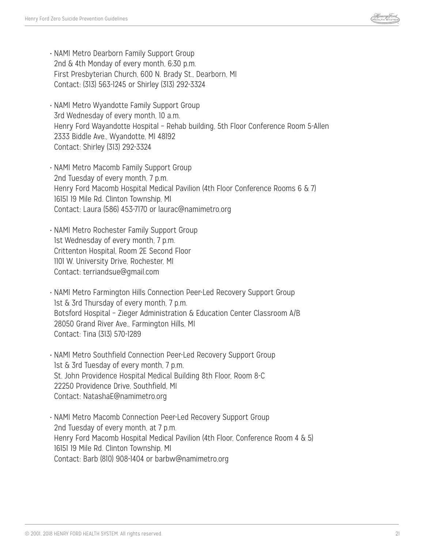

- NAMI Metro Dearborn Family Support Group 2nd & 4th Monday of every month, 6:30 p.m. First Presbyterian Church, 600 N. Brady St., Dearborn, MI Contact: (313) 563-1245 or Shirley (313) 292-3324
- NAMI Metro Wyandotte Family Support Group 3rd Wednesday of every month, 10 a.m. Henry Ford Wayandotte Hospital – Rehab building, 5th Floor Conference Room 5-Allen 2333 Biddle Ave., Wyandotte, MI 48192 Contact: Shirley (313) 292-3324
- NAMI Metro Macomb Family Support Group 2nd Tuesday of every month, 7 p.m. Henry Ford Macomb Hospital Medical Pavilion (4th Floor Conference Rooms 6 & 7) 16151 19 Mile Rd. Clinton Township, MI Contact: Laura (586) 453-7170 or laurac@namimetro.org
- NAMI Metro Rochester Family Support Group 1st Wednesday of every month, 7 p.m. Crittenton Hospital, Room 2E Second Floor 1101 W. University Drive, Rochester, MI Contact: terriandsue@gmail.com
- NAMI Metro Farmington Hills Connection Peer-Led Recovery Support Group 1st & 3rd Thursday of every month, 7 p.m. Botsford Hospital – Zieger Administration & Education Center Classroom A/B 28050 Grand River Ave., Farmington Hills, MI Contact: Tina (313) 570-1289
- NAMI Metro Southfield Connection Peer-Led Recovery Support Group 1st & 3rd Tuesday of every month, 7 p.m. St. John Providence Hospital Medical Building 8th Floor, Room 8-C 22250 Providence Drive, Southfield, MI Contact: NatashaE@namimetro.org
- NAMI Metro Macomb Connection Peer-Led Recovery Support Group 2nd Tuesday of every month, at 7 p.m. Henry Ford Macomb Hospital Medical Pavilion (4th Floor, Conference Room 4 & 5) 16151 19 Mile Rd. Clinton Township, MI Contact: Barb (810) 908-1404 or barbw@namimetro.org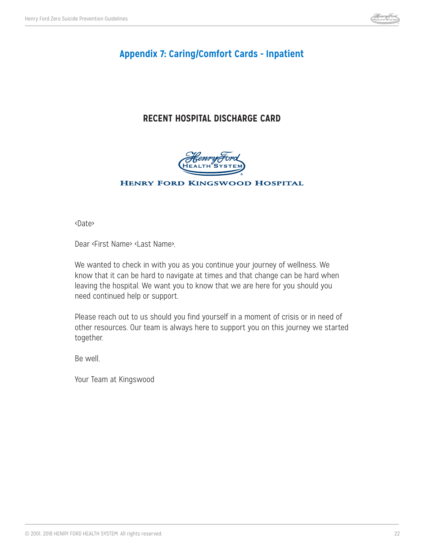

## **Appendix 7: Caring/Comfort Cards - Inpatient**

## **RECENT HOSPITAL DISCHARGE CARD**



#### **HENRY FORD KINGSWOOD HOSPITAL**

<Date>

Dear <First Name> <Last Name>,

We wanted to check in with you as you continue your journey of wellness. We know that it can be hard to navigate at times and that change can be hard when leaving the hospital. We want you to know that we are here for you should you need continued help or support.

Please reach out to us should you find yourself in a moment of crisis or in need of other resources. Our team is always here to support you on this journey we started together.

Be well,

Your Team at Kingswood